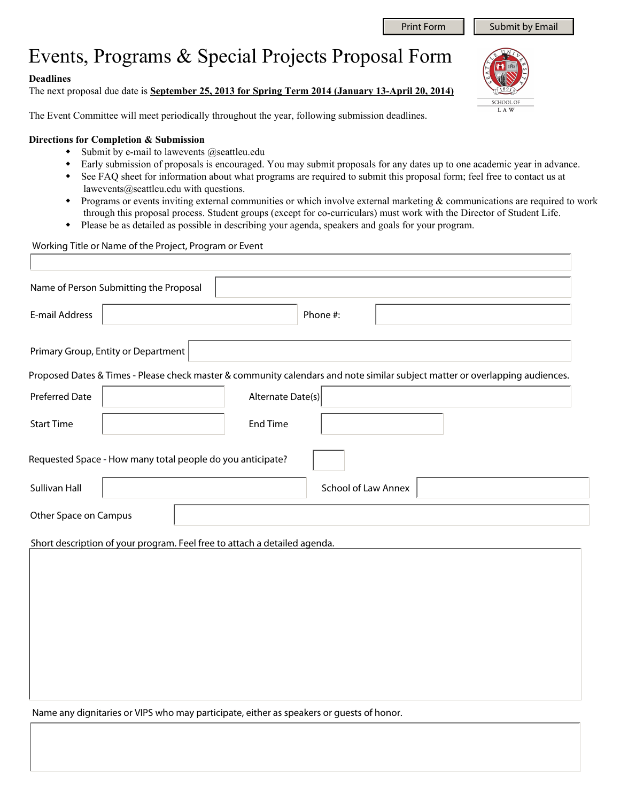## Events, Programs & Special Projects Proposal Form

## **Deadlines**

Г

The next proposal due date is **September 25, 2013 for Spring Term 2014 (January 13-April 20, 2014)**

The Event Committee will meet periodically throughout the year, following submission deadlines.

## **Directions for Completion & Submission**

- $\bullet$  Submit by e-mail to lawevents @seattleu.edu
- Early submission of proposals is encouraged. You may submit proposals for any dates up to one academic year in advance.
- See FAQ sheet for information about what programs are required to submit this proposal form; feel free to contact us at lawevents@seattleu.edu with questions.
- Programs or events inviting external communities or which involve external marketing & communications are required to work through this proposal process. Student groups (except for co-curriculars) must work with the Director of Student Life.
- Please be as detailed as possible in describing your agenda, speakers and goals for your program.

## Working Title or Name of the Project, Program or Event

| Name of Person Submitting the Proposal                                    |  |                   |                            |  |                                                                                                                              |                         |
|---------------------------------------------------------------------------|--|-------------------|----------------------------|--|------------------------------------------------------------------------------------------------------------------------------|-------------------------|
| E-mail Address                                                            |  |                   | Phone #:                   |  |                                                                                                                              |                         |
| Primary Group, Entity or Department                                       |  |                   |                            |  |                                                                                                                              |                         |
|                                                                           |  |                   |                            |  | Proposed Dates & Times - Please check master & community calendars and note similar subject matter or overlapping audiences. |                         |
| <b>Preferred Date</b>                                                     |  | Alternate Date(s) |                            |  |                                                                                                                              |                         |
| <b>Start Time</b>                                                         |  | <b>End Time</b>   |                            |  |                                                                                                                              |                         |
| Requested Space - How many total people do you anticipate?                |  |                   |                            |  |                                                                                                                              |                         |
| <b>Sullivan Hall</b>                                                      |  |                   | <b>School of Law Annex</b> |  |                                                                                                                              | $\overline{\textbf{v}}$ |
| Other Space on Campus                                                     |  |                   |                            |  |                                                                                                                              |                         |
| Short description of your program. Feel free to attach a detailed agenda. |  |                   |                            |  |                                                                                                                              |                         |
|                                                                           |  |                   |                            |  |                                                                                                                              |                         |
|                                                                           |  |                   |                            |  |                                                                                                                              |                         |
|                                                                           |  |                   |                            |  |                                                                                                                              |                         |
|                                                                           |  |                   |                            |  |                                                                                                                              |                         |
|                                                                           |  |                   |                            |  |                                                                                                                              |                         |

Name any dignitaries or VIPS who may participate, either as speakers or guests of honor.